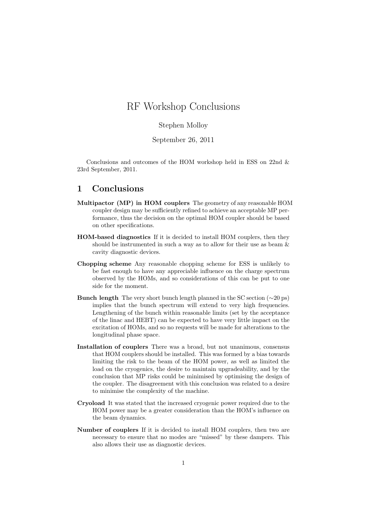# RF Workshop Conclusions

#### Stephen Molloy

September 26, 2011

Conclusions and outcomes of the HOM workshop held in ESS on 22nd & 23rd September, 2011.

### 1 Conclusions

- Multipactor (MP) in HOM couplers The geometry of any reasonable HOM coupler design may be sufficiently refined to achieve an acceptable MP performance, thus the decision on the optimal HOM coupler should be based on other specifications.
- HOM-based diagnostics If it is decided to install HOM couplers, then they should be instrumented in such a way as to allow for their use as beam & cavity diagnostic devices.
- Chopping scheme Any reasonable chopping scheme for ESS is unlikely to be fast enough to have any appreciable influence on the charge spectrum observed by the HOMs, and so considerations of this can be put to one side for the moment.
- Bunch length The very short bunch length planned in the SC section ( $\sim$ 20 ps) implies that the bunch spectrum will extend to very high frequencies. Lengthening of the bunch within reasonable limits (set by the acceptance of the linac and HEBT) can be expected to have very little impact on the excitation of HOMs, and so no requests will be made for alterations to the longitudinal phase space.
- Installation of couplers There was a broad, but not unanimous, consensus that HOM couplers should be installed. This was formed by a bias towards limiting the risk to the beam of the HOM power, as well as limited the load on the cryogenics, the desire to maintain upgradeability, and by the conclusion that MP risks could be minimised by optimising the design of the coupler. The disagreement with this conclusion was related to a desire to minimise the complexity of the machine.
- Cryoload It was stated that the increased cryogenic power required due to the HOM power may be a greater consideration than the HOM's influence on the beam dynamics.
- Number of couplers If it is decided to install HOM couplers, then two are necessary to ensure that no modes are "missed" by these dampers. This also allows their use as diagnostic devices.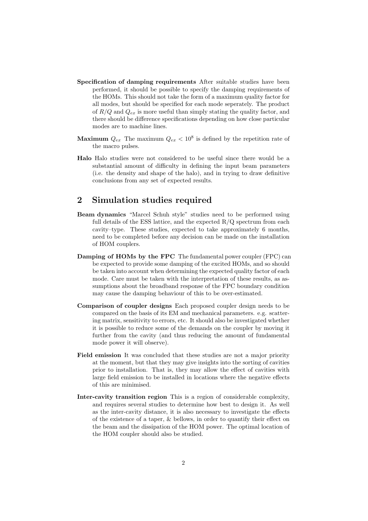- Specification of damping requirements After suitable studies have been performed, it should be possible to specify the damping requirements of the HOMs. This should not take the form of a maximum quality factor for all modes, but should be specified for each mode seperately. The product of  $R/Q$  and  $Q_{ex}$  is more useful than simply stating the quality factor, and there should be difference specifications depending on how close particular modes are to machine lines.
- **Maximum**  $Q_{ex}$  The maximum  $Q_{ex} < 10^8$  is defined by the repetition rate of the macro pulses.
- Halo Halo studies were not considered to be useful since there would be a substantial amount of difficulty in defining the input beam parameters (i.e. the density and shape of the halo), and in trying to draw definitive conclusions from any set of expected results.

# 2 Simulation studies required

- Beam dynamics "Marcel Schuh style" studies need to be performed using full details of the ESS lattice, and the expected  $R/Q$  spectrum from each cavity–type. These studies, expected to take approximately 6 months, need to be completed before any decision can be made on the installation of HOM couplers.
- Damping of HOMs by the FPC The fundamental power coupler (FPC) can be expected to provide some damping of the excited HOMs, and so should be taken into account when determining the expected quality factor of each mode. Care must be taken with the interpretation of these results, as assumptions about the broadband response of the FPC boundary condition may cause the damping behaviour of this to be over-estimated.
- Comparison of coupler designs Each proposed coupler design needs to be compared on the basis of its EM and mechanical parameters. e.g. scattering matrix, sensitivity to errors, etc. It should also be investigated whether it is possible to reduce some of the demands on the coupler by moving it further from the cavity (and thus reducing the amount of fundamental mode power it will observe).
- Field emission It was concluded that these studies are not a major priority at the moment, but that they may give insights into the sorting of cavities prior to installation. That is, they may allow the effect of cavities with large field emission to be installed in locations where the negative effects of this are minimised.
- Inter-cavity transition region This is a region of considerable complexity, and requires several studies to determine how best to design it. As well as the inter-cavity distance, it is also necessary to investigate the effects of the existence of a taper, & bellows, in order to quantify their effect on the beam and the dissipation of the HOM power. The optimal location of the HOM coupler should also be studied.